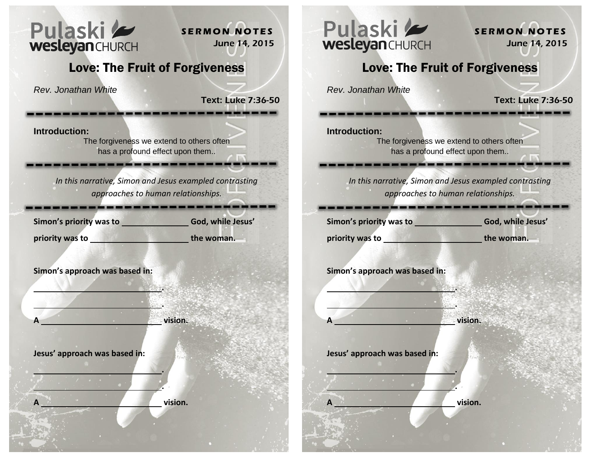

**S E R M O N N O T E S** June 14, 2015

## Love: The Fruit of Forgiveness

*Rev. Jonathan White*

**Text:** Luke 7:36-50

**Introduction:** 

The forgiveness we extend to others often has a profound effect upon them..

*In this narrative, Simon and Jesus exampled contrasting approaches to human relationships.* 

Simon's priority was to<br> **God, while Jesus'** 

**priority was to the woman. the woman.** 

**Simon's approach was based in:**

 **.** 

 **.** 

 **.** 

 **.** 

**A vision.** 

**Jesus' approach was based in:**

**A vision.**